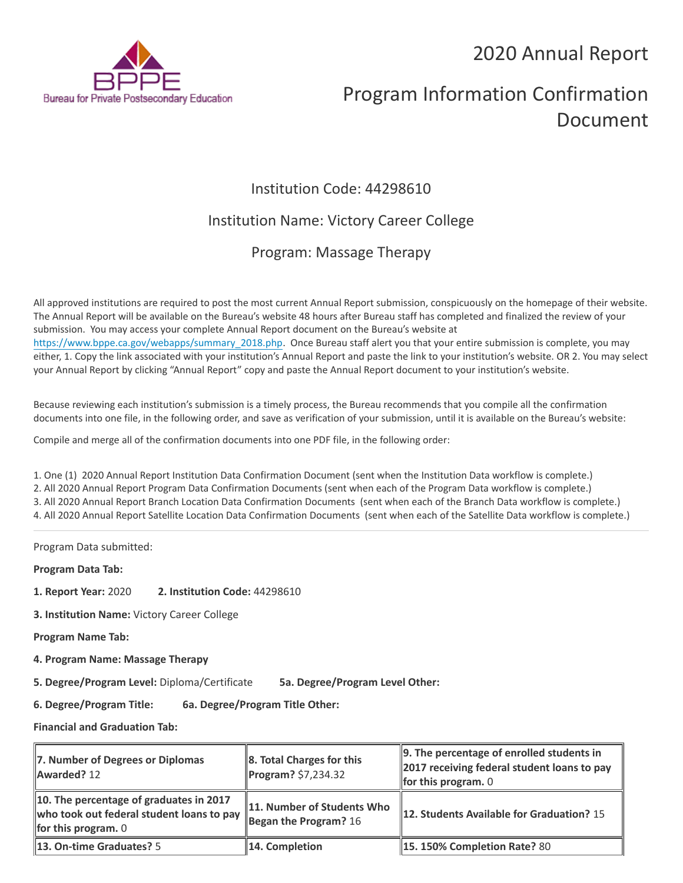## 2020 Annual Report



# Program Information Confirmation Document

### Institution Code: 44298610

### Institution Name: Victory Career College

### Program: Massage Therapy

All approved institutions are required to post the most current Annual Report submission, conspicuously on the homepage of their website. The Annual Report will be available on the Bureau's website 48 hours after Bureau staff has completed and finalized the review of your submission. You may access your complete Annual Report document on the Bureau's website at [https://www.bppe.ca.gov/webapps/summary\\_2018.php.](https://www.bppe.ca.gov/webapps/summary_2018.php) Once Bureau staff alert you that your entire submission is complete, you may either, 1. Copy the link associated with your institution's Annual Report and paste the link to your institution's website. OR 2. You may select your Annual Report by clicking "Annual Report" copy and paste the Annual Report document to your institution's website.

Because reviewing each institution's submission is a timely process, the Bureau recommends that you compile all the confirmation documents into one file, in the following order, and save as verification of your submission, until it is available on the Bureau's website:

Compile and merge all of the confirmation documents into one PDF file, in the following order:

1. One (1) 2020 Annual Report Institution Data Confirmation Document (sent when the Institution Data workflow is complete.) 2. All 2020 Annual Report Program Data Confirmation Documents (sent when each of the Program Data workflow is complete.) 3. All 2020 Annual Report Branch Location Data Confirmation Documents (sent when each of the Branch Data workflow is complete.) 4. All 2020 Annual Report Satellite Location Data Confirmation Documents (sent when each of the Satellite Data workflow is complete.)

Program Data submitted:

**Program Data Tab:**

- **1. Report Year:** 2020 **2. Institution Code:** 44298610
- **3. Institution Name:** Victory Career College

**Program Name Tab:**

**4. Program Name: Massage Therapy** 

**5. Degree/Program Level:** Diploma/Certificate **5a. Degree/Program Level Other:**

**6. Degree/Program Title: 6a. Degree/Program Title Other:**

**Financial and Graduation Tab:**

| 7. Number of Degrees or Diplomas<br>Awarded? 12                                                                      | $\ 8.$ Total Charges for this<br>$\ $ Program? \$7,234.32 | $\parallel$ 9. The percentage of enrolled students in<br>2017 receiving federal student loans to pay<br>for this program. $0$ |
|----------------------------------------------------------------------------------------------------------------------|-----------------------------------------------------------|-------------------------------------------------------------------------------------------------------------------------------|
| 10. The percentage of graduates in 2017<br>who took out federal student loans to pay<br><b>for this program.</b> $0$ | 11. Number of Students Who<br>Began the Program? $16$     | 12. Students Available for Graduation? 15                                                                                     |
| <b>13. On-time Graduates?</b> 5                                                                                      | 14. Completion                                            | <b>15.150% Completion Rate? 80</b>                                                                                            |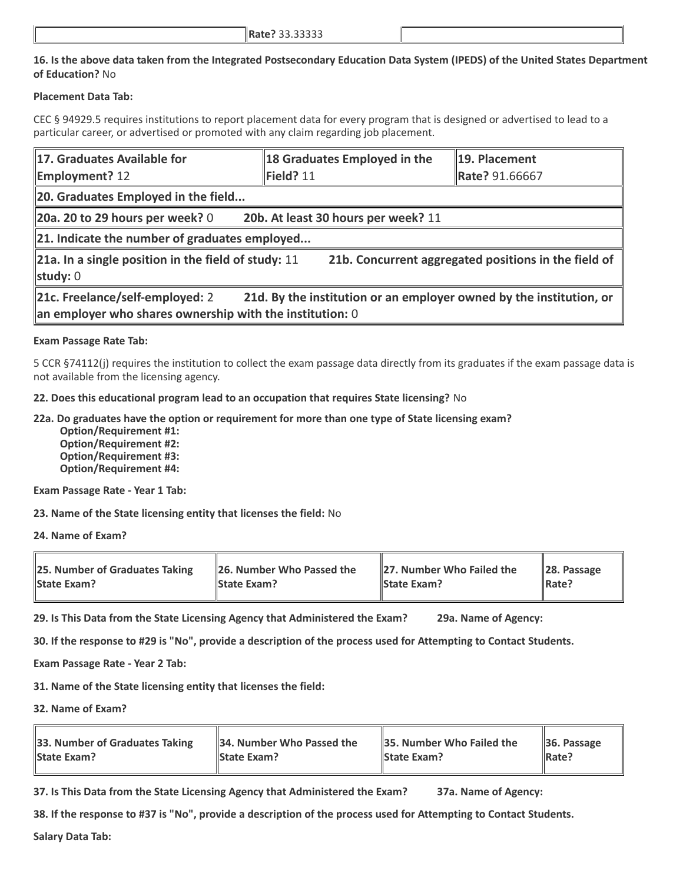#### **16. Is the above data taken from the Integrated Postsecondary Education Data System (IPEDS) of the United States Department of Education?** No

#### **Placement Data Tab:**

CEC § 94929.5 requires institutions to report placement data for every program that is designed or advertised to lead to a particular career, or advertised or promoted with any claim regarding job placement.

| 17. Graduates Available for                                                                                                                                                    | 18 Graduates Employed in the | 19. Placement  |  |  |
|--------------------------------------------------------------------------------------------------------------------------------------------------------------------------------|------------------------------|----------------|--|--|
| <b>Employment? 12</b>                                                                                                                                                          | Field? 11                    | Rate? 91.66667 |  |  |
| 20. Graduates Employed in the field                                                                                                                                            |                              |                |  |  |
| $\vert$ 20a. 20 to 29 hours per week? 0<br>20b. At least 30 hours per week? 11                                                                                                 |                              |                |  |  |
| 21. Indicate the number of graduates employed                                                                                                                                  |                              |                |  |  |
| 21b. Concurrent aggregated positions in the field of<br>$\ $ 21a. In a single position in the field of study: 11<br>study: 0                                                   |                              |                |  |  |
| 21c. Freelance/self-employed: 2<br>21d. By the institution or an employer owned by the institution, or<br>$\parallel$ an employer who shares ownership with the institution: 0 |                              |                |  |  |

#### **Exam Passage Rate Tab:**

5 CCR §74112(j) requires the institution to collect the exam passage data directly from its graduates if the exam passage data is not available from the licensing agency.

**22. Does this educational program lead to an occupation that requires State licensing?** No

**22a. Do graduates have the option or requirement for more than one type of State licensing exam?**

 **Option/Requirement #1: Option/Requirement #2: Option/Requirement #3: Option/Requirement #4:**

**Exam Passage Rate - Year 1 Tab:**

**23. Name of the State licensing entity that licenses the field:** No

**24. Name of Exam?**

| <b>25. Number of Graduates Taking</b> | 26. Number Who Passed the | 27. Number Who Failed the | $\ $ 28. Passage |
|---------------------------------------|---------------------------|---------------------------|------------------|
| <b>State Exam?</b>                    | <b>State Exam?</b>        | <b>State Exam?</b>        | <b>IRate?</b>    |

**29. Is This Data from the State Licensing Agency that Administered the Exam? 29a. Name of Agency:**

**30. If the response to #29 is "No", provide a description of the process used for Attempting to Contact Students.**

**Exam Passage Rate - Year 2 Tab:**

**31. Name of the State licensing entity that licenses the field:**

**32. Name of Exam?**

| 33. Number of Graduates Taking | 34. Number Who Passed the | <b>35. Number Who Failed the</b> | $\parallel$ 36. Passage |
|--------------------------------|---------------------------|----------------------------------|-------------------------|
| <b>State Exam?</b>             | <b>IState Exam?</b>       | <b>State Exam?</b>               | $\parallel$ Rate?       |

**37. Is This Data from the State Licensing Agency that Administered the Exam? 37a. Name of Agency:**

**38. If the response to #37 is "No", provide a description of the process used for Attempting to Contact Students.** 

**Salary Data Tab:**